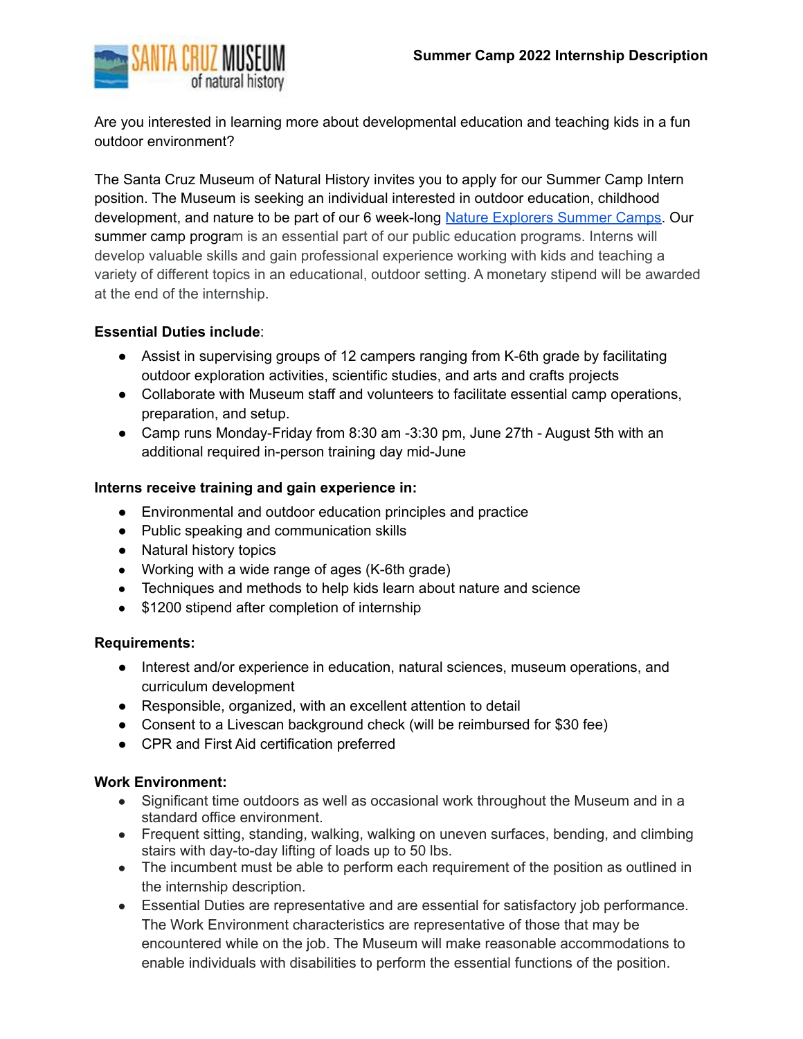

Are you interested in learning more about developmental education and teaching kids in a fun outdoor environment?

The Santa Cruz Museum of Natural History invites you to apply for our Summer Camp Intern position. The Museum is seeking an individual interested in outdoor education, childhood development, and nature to be part of our 6 week-long Nature [Explorers](https://www.santacruzmuseum.org/camp/) Summer Camps. Our summer camp program is an essential part of our public education programs. Interns will develop valuable skills and gain professional experience working with kids and teaching a variety of different topics in an educational, outdoor setting. A monetary stipend will be awarded at the end of the internship.

## **Essential Duties include**:

- Assist in supervising groups of 12 campers ranging from K-6th grade by facilitating outdoor exploration activities, scientific studies, and arts and crafts projects
- Collaborate with Museum staff and volunteers to facilitate essential camp operations, preparation, and setup.
- Camp runs Monday-Friday from 8:30 am -3:30 pm, June 27th August 5th with an additional required in-person training day mid-June

## **Interns receive training and gain experience in:**

- Environmental and outdoor education principles and practice
- Public speaking and communication skills
- Natural history topics
- Working with a wide range of ages (K-6th grade)
- Techniques and methods to help kids learn about nature and science
- \$1200 stipend after completion of internship

## **Requirements:**

- Interest and/or experience in education, natural sciences, museum operations, and curriculum development
- Responsible, organized, with an excellent attention to detail
- Consent to a Livescan background check (will be reimbursed for \$30 fee)
- CPR and First Aid certification preferred

## **Work Environment:**

- Significant time outdoors as well as occasional work throughout the Museum and in a standard office environment.
- Frequent sitting, standing, walking, walking on uneven surfaces, bending, and climbing stairs with day-to-day lifting of loads up to 50 lbs.
- The incumbent must be able to perform each requirement of the position as outlined in the internship description.
- Essential Duties are representative and are essential for satisfactory job performance. The Work Environment characteristics are representative of those that may be encountered while on the job. The Museum will make reasonable accommodations to enable individuals with disabilities to perform the essential functions of the position.